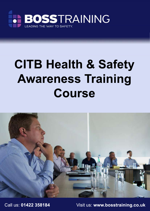

# **CITB Health & Safety Awareness Training Course**



Call us: **01422 358184** Visit us: **www.bosstraining.co.uk**